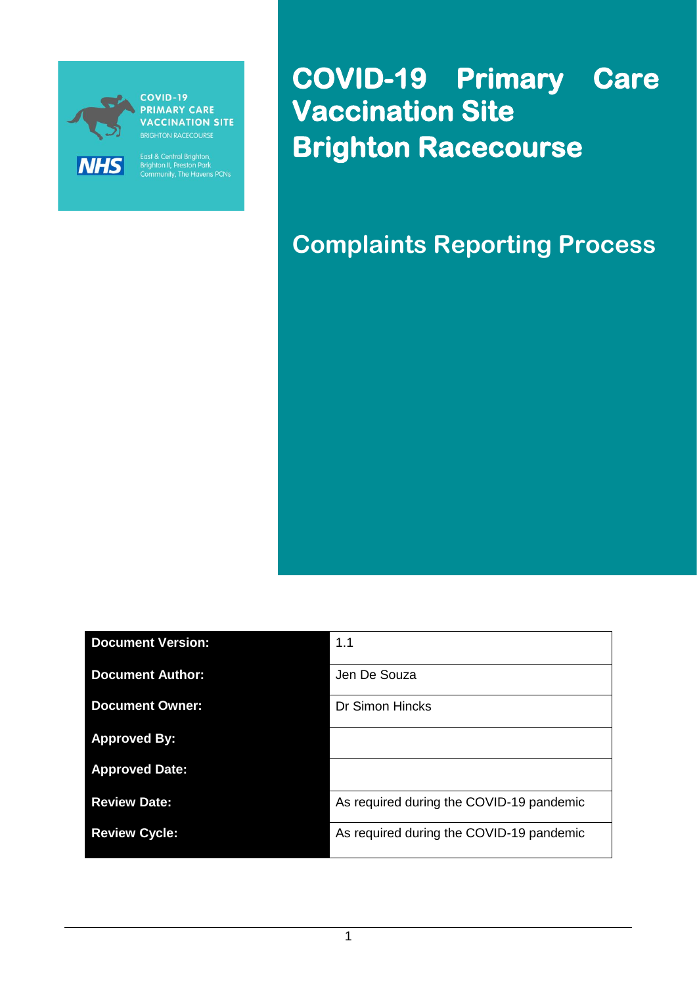

COVID-19 **PRIMARY CARE VACCINATION SITE** 

East & Central Brighton,<br>Brighton II, Preston Park<br>Community, The Havens PCNs

**COVID-19 Primary Care Vaccination Site Brighton Racecourse** 

**Complaints Reporting Process**

| <b>Document Version:</b> | 1.1                                      |
|--------------------------|------------------------------------------|
| <b>Document Author:</b>  | Jen De Souza                             |
| <b>Document Owner:</b>   | <b>Dr Simon Hincks</b>                   |
| <b>Approved By:</b>      |                                          |
| <b>Approved Date:</b>    |                                          |
| <b>Review Date:</b>      | As required during the COVID-19 pandemic |
| <b>Review Cycle:</b>     | As required during the COVID-19 pandemic |

1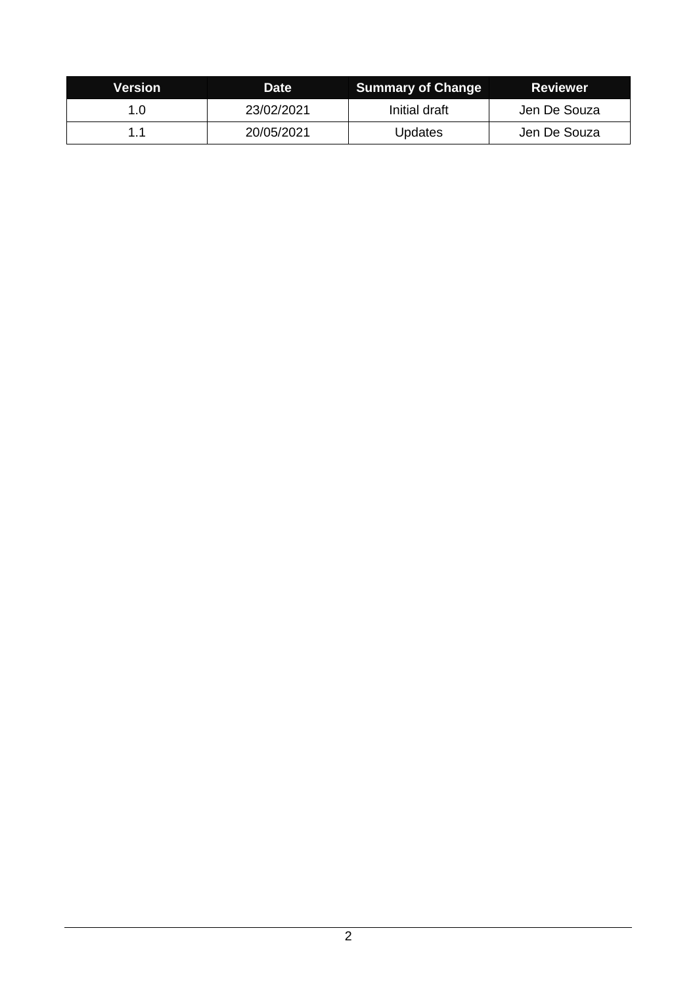| Version | Date       | <b>Summary of Change</b> | <b>Reviewer</b> |
|---------|------------|--------------------------|-----------------|
| 1.0     | 23/02/2021 | Initial draft            | Jen De Souza    |
|         | 20/05/2021 | <b>Updates</b>           | Jen De Souza    |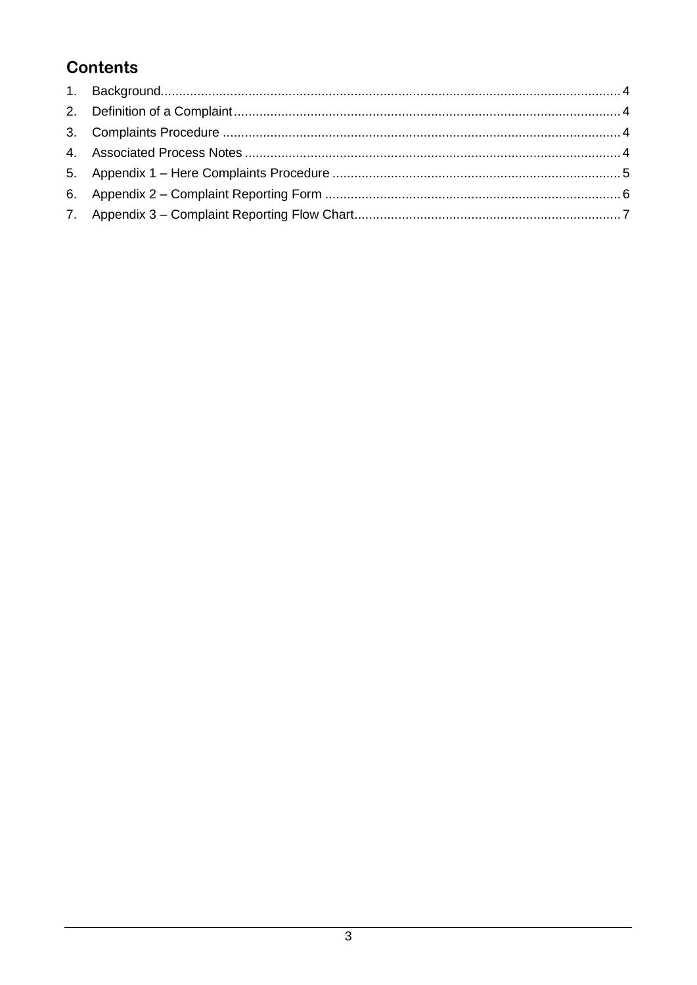# **Contents**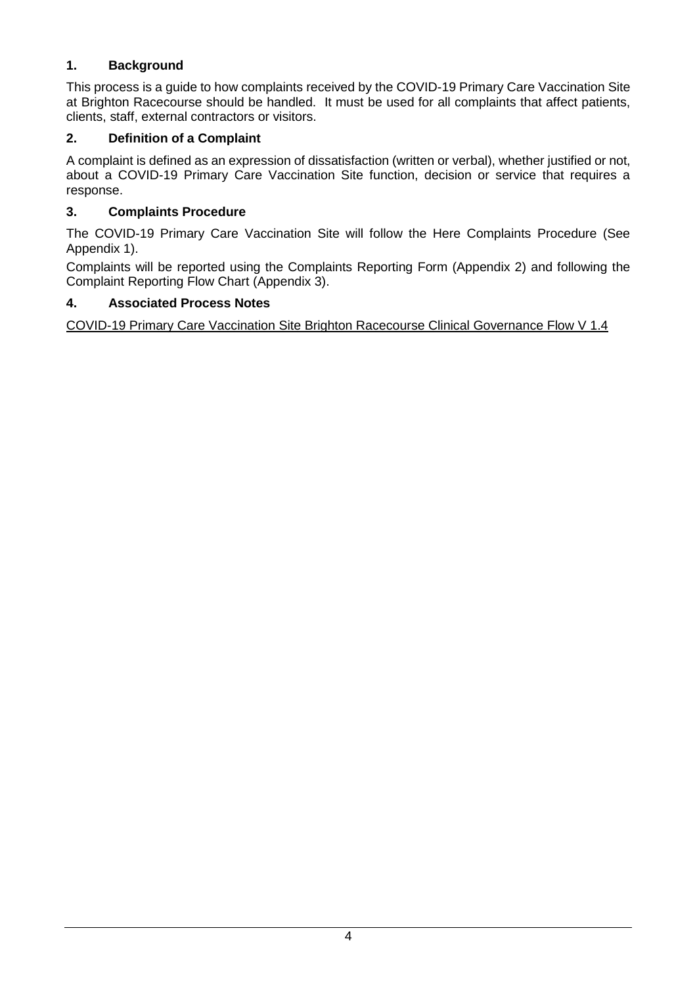### <span id="page-3-0"></span>**1. Background**

This process is a guide to how complaints received by the COVID-19 Primary Care Vaccination Site at Brighton Racecourse should be handled. It must be used for all complaints that affect patients, clients, staff, external contractors or visitors.

### <span id="page-3-1"></span>**2. Definition of a Complaint**

A complaint is defined as an expression of dissatisfaction (written or verbal), whether justified or not, about a COVID-19 Primary Care Vaccination Site function, decision or service that requires a response.

### <span id="page-3-2"></span>**3. Complaints Procedure**

The COVID-19 Primary Care Vaccination Site will follow the Here Complaints Procedure (See Appendix 1).

Complaints will be reported using the Complaints Reporting Form (Appendix 2) and following the Complaint Reporting Flow Chart (Appendix 3).

#### <span id="page-3-3"></span>**4. Associated Process Notes**

[COVID-19 Primary Care Vaccination Site Brighton Racecourse Clinical Governance Flow](https://www.improvingaccessservices.co.uk/wp-content/uploads/2021/05/210323-COVID-19-Primary-Care-Vacc-Hub-Clinical-Governance-Processes-V-1.4.pdf) V 1.4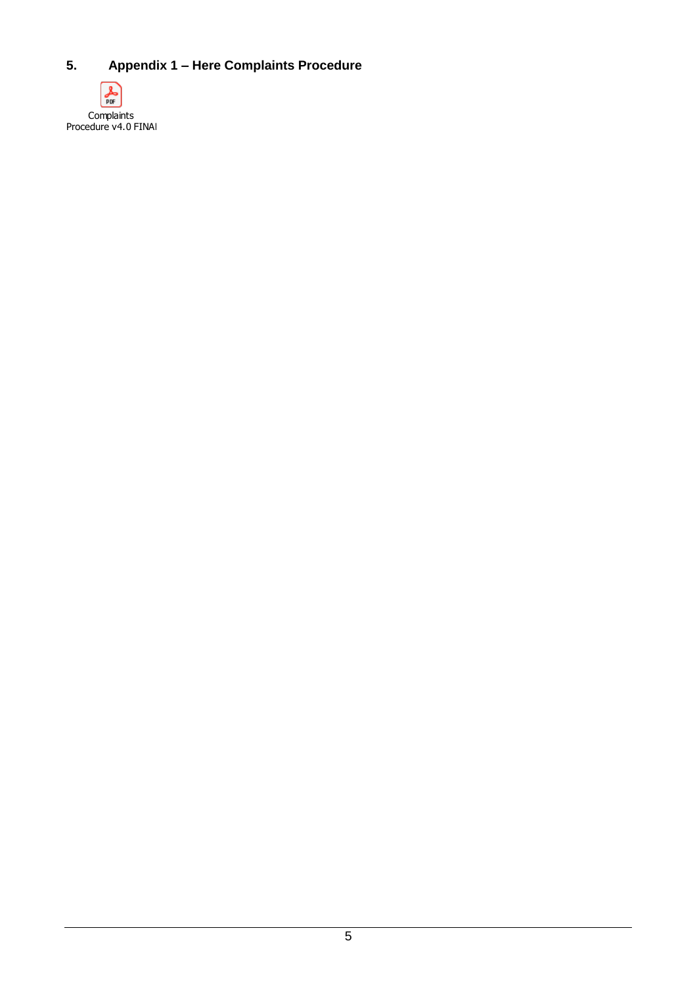### <span id="page-4-0"></span>**5. Appendix 1 – Here Complaints Procedure**

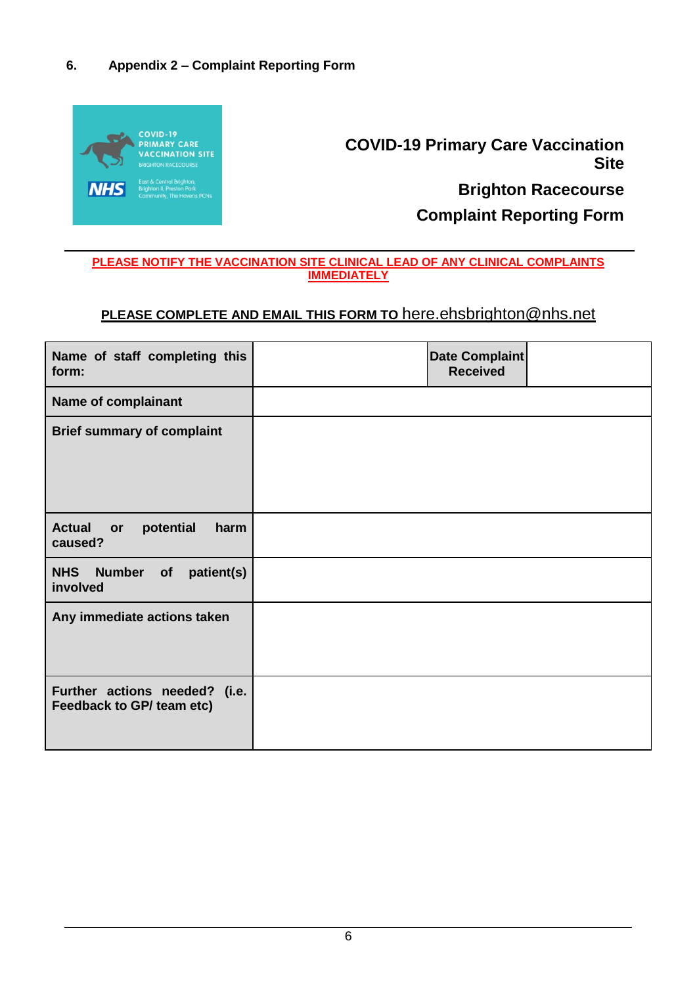#### <span id="page-5-0"></span>**6. Appendix 2 – Complaint Reporting Form**



**COVID-19 Primary Care Vaccination Site Brighton Racecourse**

**Complaint Reporting Form**

#### **PLEASE NOTIFY THE VACCINATION SITE CLINICAL LEAD OF ANY CLINICAL COMPLAINTS IMMEDIATELY**

## **PLEASE COMPLETE AND EMAIL THIS FORM TO** [here.ehsbrighton@nhs.net](mailto:here.ehsbrighton@nhs.net)

| Name of staff completing this<br>form:                     | Date Complaint<br><b>Received</b> |  |
|------------------------------------------------------------|-----------------------------------|--|
| Name of complainant                                        |                                   |  |
| <b>Brief summary of complaint</b>                          |                                   |  |
| <b>Actual</b><br>potential<br>harm<br>or<br>caused?        |                                   |  |
| <b>NHS</b><br>Number of patient(s)<br>involved             |                                   |  |
| Any immediate actions taken                                |                                   |  |
| Further actions needed? (i.e.<br>Feedback to GP/ team etc) |                                   |  |